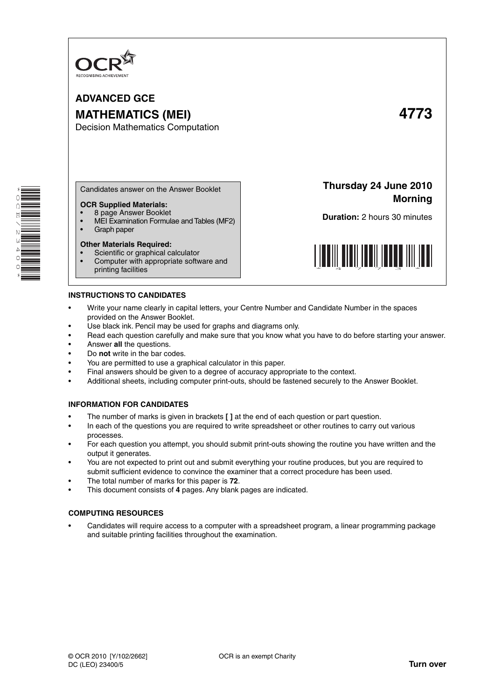

**ADVANCED GCE MATHEMATICS (MEI) 4773** Decision Mathematics Computation

**Morning**

\* O<br>Q E  $\overline{\phantom{0}}$ N ω 4 0 0 \*

Candidates answer on the Answer Booklet

# **OCR Supplied Materials:**

- 8 page Answer Booklet
- MEI Examination Formulae and Tables (MF2)<br>• Graph paper
- Graph paper

# **Other Materials Required:**

- Scientific or graphical calculator
- Computer with appropriate software and printing facilities

**INSTRUCTIONS TO CANDIDATES**

- Write your name clearly in capital letters, your Centre Number and Candidate Number in the spaces provided on the Answer Booklet.
- Use black ink. Pencil may be used for graphs and diagrams only.
- Read each question carefully and make sure that you know what you have to do before starting your answer.
- Answer **all** the questions.
- Do **not** write in the bar codes.
- You are permitted to use a graphical calculator in this paper.
- Final answers should be given to a degree of accuracy appropriate to the context.
- Additional sheets, including computer print-outs, should be fastened securely to the Answer Booklet.

# **INFORMATION FOR CANDIDATES**

- The number of marks is given in brackets **[ ]** at the end of each question or part question.
- In each of the questions you are required to write spreadsheet or other routines to carry out various processes.
- For each question you attempt, you should submit print-outs showing the routine you have written and the output it generates.
- You are not expected to print out and submit everything your routine produces, but you are required to submit sufficient evidence to convince the examiner that a correct procedure has been used.
- The total number of marks for this paper is **72**.
- This document consists of **4** pages. Any blank pages are indicated.

# **COMPUTING RESOURCES**

• Candidates will require access to a computer with a spreadsheet program, a linear programming package and suitable printing facilities throughout the examination.



**Thursday 24 June 2010**

**Duration:** 2 hours 30 minutes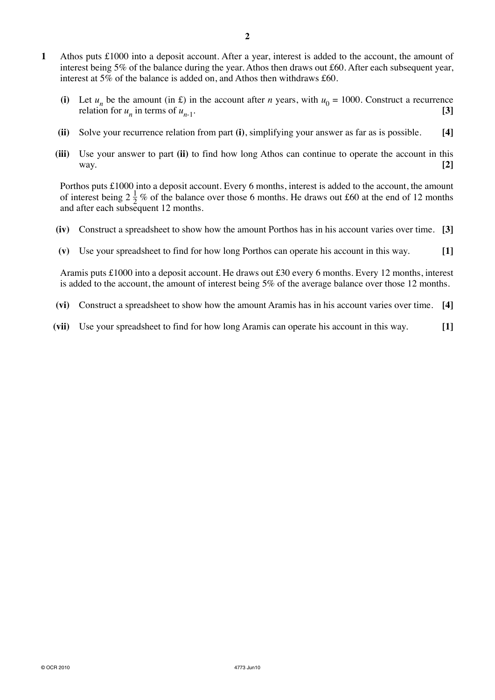- **1** Athos puts £1000 into a deposit account. After a year, interest is added to the account, the amount of interest being 5% of the balance during the year. Athos then draws out £60. After each subsequent year, interest at 5% of the balance is added on, and Athos then withdraws £60.
	- (i) Let  $u_n$  be the amount (in £) in the account after *n* years, with  $u_0 = 1000$ . Construct a recurrence relation for  $u_n$  in terms of  $u_{n+1}$ . relation for  $u_n$  in terms of  $u_{n-1}$ .
	- **(ii)** Solve your recurrence relation from part **(i)**, simplifying your answer as far as is possible. **[4]**
	- **(iii)** Use your answer to part **(ii)** to find how long Athos can continue to operate the account in this way. **[2]**

Porthos puts £1000 into a deposit account. Every 6 months, interest is added to the account, the amount of interest being  $2\frac{1}{2}$  % of the balance over those 6 months. He draws out £60 at the end of 12 months and after each subsequent 12 months.

- **(iv)** Construct a spreadsheet to show how the amount Porthos has in his account varies over time. **[3]**
- **(v)** Use your spreadsheet to find for how long Porthos can operate his account in this way. **[1]**

Aramis puts £1000 into a deposit account. He draws out £30 every 6 months. Every 12 months, interest is added to the account, the amount of interest being 5% of the average balance over those 12 months.

- **(vi)** Construct a spreadsheet to show how the amount Aramis has in his account varies over time. **[4]**
- **(vii)** Use your spreadsheet to find for how long Aramis can operate his account in this way. **[1]**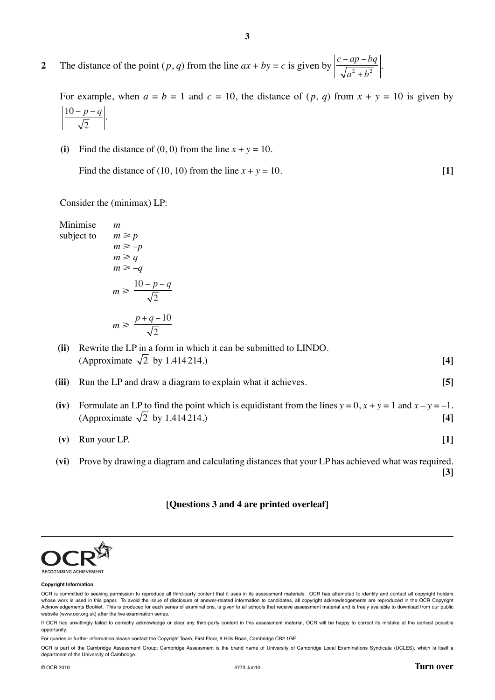**2** The distance of the point  $(p, q)$  from the line  $ax + by = c$  is given by  $\left| \frac{c - ap - bq}{\sqrt{a^2 + b^2}} \right|$  $a^2 + b$  $\frac{-ap-bq}{\sqrt{a^2+b^2}}$ 

For example, when  $a = b = 1$  and  $c = 10$ , the distance of  $(p, q)$  from  $x + y = 10$  is given by 10 2  $-\frac{p-q}{\sqrt{p}}$ .

**3**

**(i)** Find the distance of  $(0, 0)$  from the line  $x + y = 10$ .

Find the distance of (10, 10) from the line  $x + y = 10$ . [1]

Consider the (minimax) LP:

 $p_1 > p$ 

Minimise *m*  $subject to$ 

subject to

\n
$$
m \geq p
$$
\n
$$
m \geq -p
$$
\n
$$
m \geq q
$$
\n
$$
m \geq -q
$$
\n
$$
m \geq \frac{10 - p - q}{\sqrt{2}}
$$
\n
$$
m \geq \frac{p + q - 10}{\sqrt{2}}
$$

 **(ii)** Rewrite the LP in a form in which it can be submitted to LINDO.  $\sqrt{2}$  by 1.414 214.) **[4]** 

 **(iii)** Run the LP and draw a diagram to explain what it achieves. **[5]**

**(iv)** Formulate an LP to find the point which is equidistant from the lines  $y = 0$ ,  $x + y = 1$  and  $x - y = -1$ . (Approximate  $\sqrt{2}$  by 1.414 214.) **[4]** 

 **(v)** Run your LP. **[1]**

 **(vi)** Prove by drawing a diagram and calculating distances that your LP has achieved what was required. **[3]**

**[Questions 3 and 4 are printed overleaf]**



### **Copyright Information**

For queries or further information please contact the Copyright Team, First Floor, 9 Hills Road, Cambridge CB2 1GE.

OCR is part of the Cambridge Assessment Group; Cambridge Assessment is the brand name of University of Cambridge Local Examinations Syndicate (UCLES), which is itself a department of the University of Cambridge.

OCR is committed to seeking permission to reproduce all third-party content that it uses in its assessment materials. OCR has attempted to identify and contact all copyright holders whose work is used in this paper. To avoid the issue of disclosure of answer-related information to candidates, all copyright acknowledgements are reproduced in the OCR Copyright Acknowledgements Booklet. This is produced for each series of examinations, is given to all schools that receive assessment material and is freely available to download from our public website (www.ocr.org.uk) after the live examination series.

If OCR has unwittingly failed to correctly acknowledge or clear any third-party content in this assessment material, OCR will be happy to correct its mistake at the earliest possible opportunity.